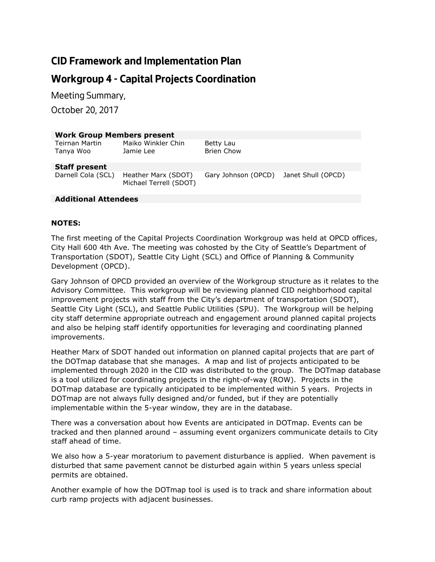# **CID Framework and Implementation Plan**

# **Workgroup 4 - Capital Projects Coordination**

*Meeting Summary,* 

*October 20, 2017*

| <b>Work Group Members present</b>  |                                               |                                        |  |
|------------------------------------|-----------------------------------------------|----------------------------------------|--|
| <b>Teirnan Martin</b><br>Tanya Woo | Maiko Winkler Chin<br>Jamie Lee               | Betty Lau<br><b>Brien Chow</b>         |  |
| <b>Staff present</b>               |                                               |                                        |  |
| Darnell Cola (SCL)                 | Heather Marx (SDOT)<br>Michael Terrell (SDOT) | Gary Johnson (OPCD) Janet Shull (OPCD) |  |
|                                    |                                               |                                        |  |

### **Additional Attendees**

### **NOTES:**

The first meeting of the Capital Projects Coordination Workgroup was held at OPCD offices, City Hall 600 4th Ave. The meeting was cohosted by the City of Seattle's Department of Transportation (SDOT), Seattle City Light (SCL) and Office of Planning & Community Development (OPCD).

Gary Johnson of OPCD provided an overview of the Workgroup structure as it relates to the Advisory Committee. This workgroup will be reviewing planned CID neighborhood capital improvement projects with staff from the City's department of transportation (SDOT), Seattle City Light (SCL), and Seattle Public Utilities (SPU). The Workgroup will be helping city staff determine appropriate outreach and engagement around planned capital projects and also be helping staff identify opportunities for leveraging and coordinating planned improvements.

Heather Marx of SDOT handed out information on planned capital projects that are part of the DOTmap database that she manages. A map and list of projects anticipated to be implemented through 2020 in the CID was distributed to the group. The DOTmap database is a tool utilized for coordinating projects in the right-of-way (ROW). Projects in the DOTmap database are typically anticipated to be implemented within 5 years. Projects in DOTmap are not always fully designed and/or funded, but if they are potentially implementable within the 5-year window, they are in the database.

There was a conversation about how Events are anticipated in DOTmap. Events can be tracked and then planned around – assuming event organizers communicate details to City staff ahead of time.

We also how a 5-year moratorium to pavement disturbance is applied. When pavement is disturbed that same pavement cannot be disturbed again within 5 years unless special permits are obtained.

Another example of how the DOTmap tool is used is to track and share information about curb ramp projects with adjacent businesses.